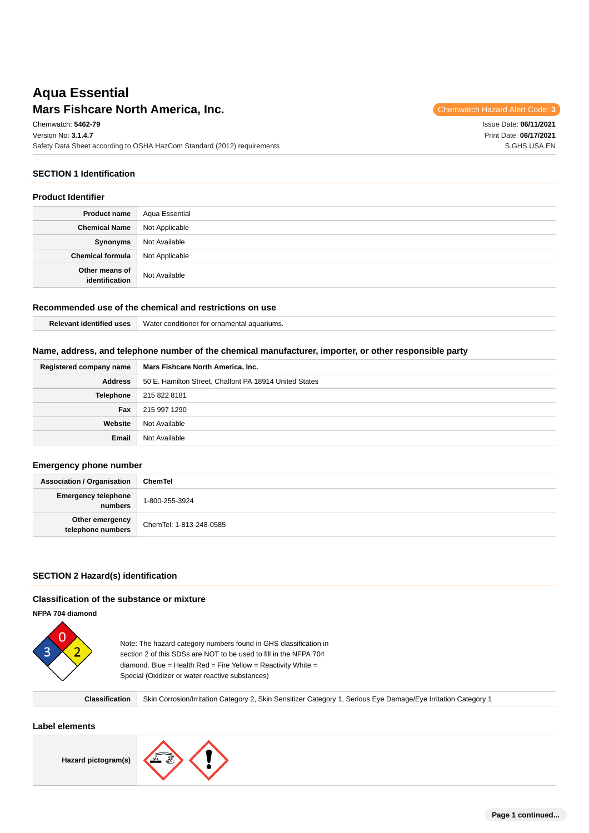# **Mars Fishcare North America, Inc.** The Mars of the Code: **3** Chemwatch Hazard Alert Code: 3 **Aqua Essential**

Issue Date: **06/11/2021** Print Date: **06/17/2021** S.GHS.USA.EN

Chemwatch: **5462-79** Version No: **3.1.4.7** Safety Data Sheet according to OSHA HazCom Standard (2012) requirements

### **SECTION 1 Identification**

#### **Product Identifier**

| <b>Product name</b>              | Aqua Essential |
|----------------------------------|----------------|
| <b>Chemical Name</b>             | Not Applicable |
| Synonyms                         | Not Available  |
| <b>Chemical formula</b>          | Not Applicable |
| Other means of<br>identification | Not Available  |

### **Recommended use of the chemical and restrictions on use**

| Relevant identified uses | Water conditioner for ornamental aquariums. |
|--------------------------|---------------------------------------------|
|--------------------------|---------------------------------------------|

### **Name, address, and telephone number of the chemical manufacturer, importer, or other responsible party**

| Registered company name | Mars Fishcare North America, Inc.                      |  |
|-------------------------|--------------------------------------------------------|--|
| <b>Address</b>          | 50 E. Hamilton Street, Chalfont PA 18914 United States |  |
| Telephone               | 215 822 8181                                           |  |
| Fax                     | 215 997 1290                                           |  |
| Website                 | Not Available                                          |  |
| Email                   | Not Available                                          |  |

### **Emergency phone number**

| <b>Association / Organisation</b>     | ChemTel                 |
|---------------------------------------|-------------------------|
| <b>Emergency telephone</b><br>numbers | 1-800-255-3924          |
| Other emergency<br>telephone numbers  | ChemTel: 1-813-248-0585 |

**Classification** Skin Corrosion/Irritation Category 2, Skin Sensitizer Category 1, Serious Eye Damage/Eye Irritation Category 1

### **SECTION 2 Hazard(s) identification**

#### **Classification of the substance or mixture**

**NFPA 704 diamond**



Note: The hazard category numbers found in GHS classification in section 2 of this SDSs are NOT to be used to fill in the NFPA 704 diamond. Blue = Health Red = Fire Yellow = Reactivity White = Special (Oxidizer or water reactive substances)

**Label elements**

**Hazard pictogram(s)**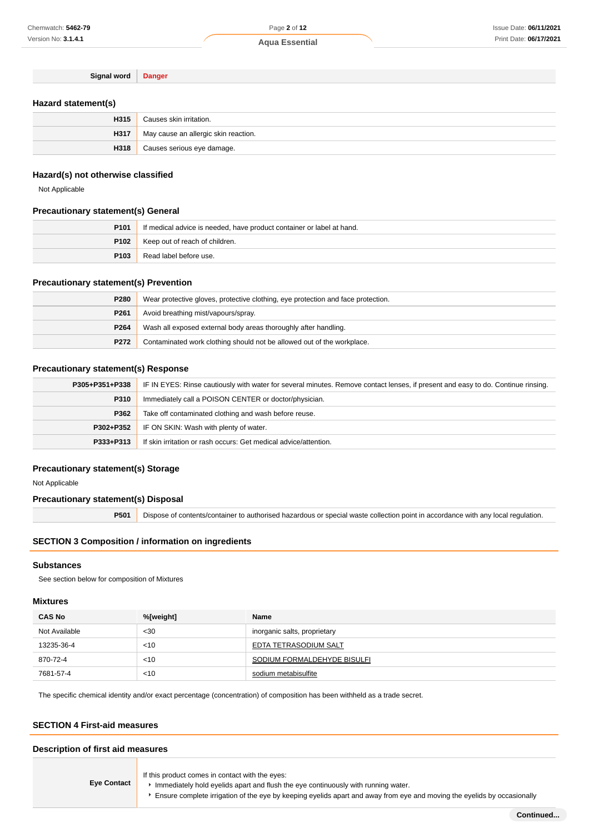**Signal word Danger**

### **Hazard statement(s)**

| H315 | Causes skin irritation.                |
|------|----------------------------------------|
| H317 | ' May cause an allergic skin reaction. |
| H318 | Causes serious eye damage.             |

#### **Hazard(s) not otherwise classified**

Not Applicable

### **Precautionary statement(s) General**

| P <sub>101</sub> | If medical advice is needed, have product container or label at hand. |
|------------------|-----------------------------------------------------------------------|
| P102             | Keep out of reach of children.                                        |
| P <sub>103</sub> | Read label before use.                                                |

### **Precautionary statement(s) Prevention**

| P280             | Wear protective gloves, protective clothing, eye protection and face protection. |
|------------------|----------------------------------------------------------------------------------|
| P <sub>261</sub> | Avoid breathing mist/vapours/spray.                                              |
| P264             | Wash all exposed external body areas thoroughly after handling.                  |
| P272             | Contaminated work clothing should not be allowed out of the workplace.           |

### **Precautionary statement(s) Response**

| P305+P351+P338 | IF IN EYES: Rinse cautiously with water for several minutes. Remove contact lenses, if present and easy to do. Continue rinsing. |
|----------------|----------------------------------------------------------------------------------------------------------------------------------|
| P310           | Immediately call a POISON CENTER or doctor/physician.                                                                            |
| P362           | Take off contaminated clothing and wash before reuse.                                                                            |
| P302+P352      | IF ON SKIN: Wash with plenty of water.                                                                                           |
| P333+P313      | If skin irritation or rash occurs: Get medical advice/attention.                                                                 |

### **Precautionary statement(s) Storage**

Not Applicable

### **Precautionary statement(s) Disposal**

**P501** Dispose of contents/container to authorised hazardous or special waste collection point in accordance with any local regulation.

### **SECTION 3 Composition / information on ingredients**

### **Substances**

See section below for composition of Mixtures

### **Mixtures**

| <b>CAS No</b> | %[weight] | <b>Name</b>                  |
|---------------|-----------|------------------------------|
| Not Available | $30$      | inorganic salts, proprietary |
| 13235-36-4    | $<$ 10    | EDTA TETRASODIUM SALT        |
| 870-72-4      | $<$ 10    | SODIUM FORMALDEHYDE BISULFI  |
| 7681-57-4     | $<$ 10    | sodium metabisulfite         |

The specific chemical identity and/or exact percentage (concentration) of composition has been withheld as a trade secret.

### **SECTION 4 First-aid measures**

#### **Description of first aid measures**

| <b>Eye Contact</b> | If this product comes in contact with the eyes:<br>Immediately hold eyelids apart and flush the eye continuously with running water.<br>Ensure complete irrigation of the eye by keeping eyelids apart and away from eye and moving the eyelids by occasionally |
|--------------------|-----------------------------------------------------------------------------------------------------------------------------------------------------------------------------------------------------------------------------------------------------------------|
|--------------------|-----------------------------------------------------------------------------------------------------------------------------------------------------------------------------------------------------------------------------------------------------------------|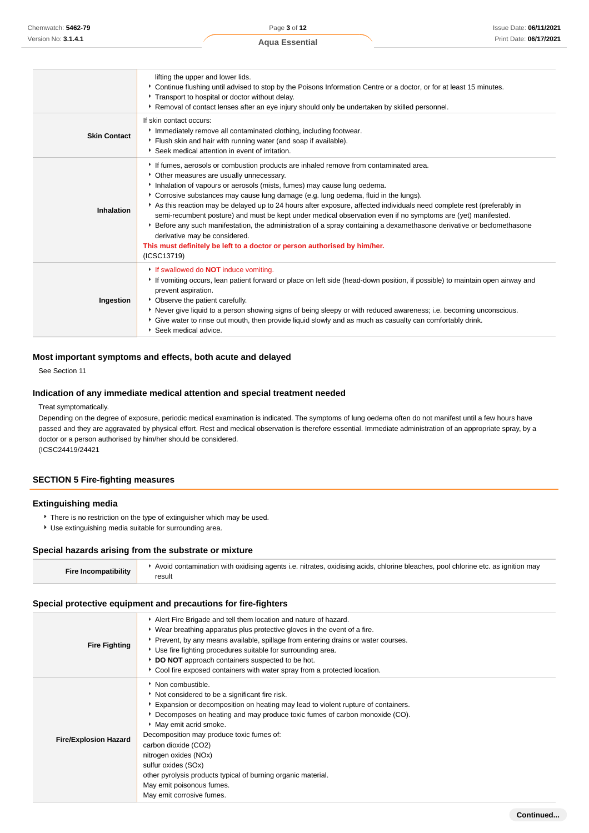|                     | lifting the upper and lower lids.<br>▶ Continue flushing until advised to stop by the Poisons Information Centre or a doctor, or for at least 15 minutes.<br>Transport to hospital or doctor without delay.<br>▶ Removal of contact lenses after an eye injury should only be undertaken by skilled personnel.                                                                                                                                                                                                                                                                                                                                                                                                                                                                                   |
|---------------------|--------------------------------------------------------------------------------------------------------------------------------------------------------------------------------------------------------------------------------------------------------------------------------------------------------------------------------------------------------------------------------------------------------------------------------------------------------------------------------------------------------------------------------------------------------------------------------------------------------------------------------------------------------------------------------------------------------------------------------------------------------------------------------------------------|
| <b>Skin Contact</b> | If skin contact occurs:<br>Immediately remove all contaminated clothing, including footwear.<br>Flush skin and hair with running water (and soap if available).<br>Seek medical attention in event of irritation.                                                                                                                                                                                                                                                                                                                                                                                                                                                                                                                                                                                |
| <b>Inhalation</b>   | If fumes, aerosols or combustion products are inhaled remove from contaminated area.<br>• Other measures are usually unnecessary.<br>Inhalation of vapours or aerosols (mists, fumes) may cause lung oedema.<br>Corrosive substances may cause lung damage (e.g. lung oedema, fluid in the lungs).<br>As this reaction may be delayed up to 24 hours after exposure, affected individuals need complete rest (preferably in<br>semi-recumbent posture) and must be kept under medical observation even if no symptoms are (yet) manifested.<br>Effore any such manifestation, the administration of a spray containing a dexamethasone derivative or beclomethasone<br>derivative may be considered.<br>This must definitely be left to a doctor or person authorised by him/her.<br>(ICSC13719) |
| Ingestion           | If swallowed do <b>NOT</b> induce vomiting.<br>▶ If vomiting occurs, lean patient forward or place on left side (head-down position, if possible) to maintain open airway and<br>prevent aspiration.<br>• Observe the patient carefully.<br>Never give liquid to a person showing signs of being sleepy or with reduced awareness; i.e. becoming unconscious.<br>Give water to rinse out mouth, then provide liquid slowly and as much as casualty can comfortably drink.<br>Seek medical advice.                                                                                                                                                                                                                                                                                                |

### **Most important symptoms and effects, both acute and delayed**

See Section 11

### **Indication of any immediate medical attention and special treatment needed**

#### Treat symptomatically.

Depending on the degree of exposure, periodic medical examination is indicated. The symptoms of lung oedema often do not manifest until a few hours have passed and they are aggravated by physical effort. Rest and medical observation is therefore essential. Immediate administration of an appropriate spray, by a doctor or a person authorised by him/her should be considered. (ICSC24419/24421

### **SECTION 5 Fire-fighting measures**

### **Extinguishing media**

- There is no restriction on the type of extinguisher which may be used.
- Use extinguishing media suitable for surrounding area.

# **Special hazards arising from the substrate or mixture**

| <b>Fire Incompatibility</b> | Avoid contamination with oxidising agents i.e. nitrates, oxidising acids, chlorine bleaches, pool chlorine etc. as ignition may |
|-----------------------------|---------------------------------------------------------------------------------------------------------------------------------|
|                             | result                                                                                                                          |

### **Special protective equipment and precautions for fire-fighters**

| <b>Fire Fighting</b>         | Alert Fire Brigade and tell them location and nature of hazard.<br>► Wear breathing apparatus plus protective gloves in the event of a fire.<br>▶ Prevent, by any means available, spillage from entering drains or water courses.<br>Use fire fighting procedures suitable for surrounding area.<br>DO NOT approach containers suspected to be hot.<br>► Cool fire exposed containers with water spray from a protected location.                                                                               |
|------------------------------|------------------------------------------------------------------------------------------------------------------------------------------------------------------------------------------------------------------------------------------------------------------------------------------------------------------------------------------------------------------------------------------------------------------------------------------------------------------------------------------------------------------|
| <b>Fire/Explosion Hazard</b> | ▶ Non combustible.<br>Not considered to be a significant fire risk.<br>Expansion or decomposition on heating may lead to violent rupture of containers.<br>Decomposes on heating and may produce toxic fumes of carbon monoxide (CO).<br>• May emit acrid smoke.<br>Decomposition may produce toxic fumes of:<br>carbon dioxide (CO2)<br>nitrogen oxides (NOx)<br>sulfur oxides (SOx)<br>other pyrolysis products typical of burning organic material.<br>May emit poisonous fumes.<br>May emit corrosive fumes. |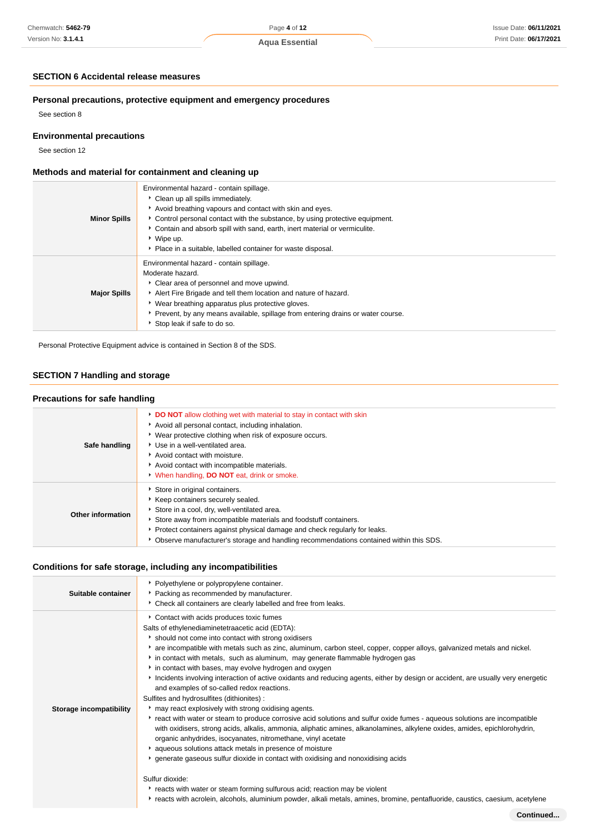## **SECTION 6 Accidental release measures**

### **Personal precautions, protective equipment and emergency procedures**

See section 8

### **Environmental precautions**

See section 12

### **Methods and material for containment and cleaning up**

| <b>Minor Spills</b> | Environmental hazard - contain spillage.<br>• Clean up all spills immediately.<br>Avoid breathing vapours and contact with skin and eyes.<br>Control personal contact with the substance, by using protective equipment.<br>Contain and absorb spill with sand, earth, inert material or vermiculite.<br>▸ Wipe up.<br>• Place in a suitable, labelled container for waste disposal. |
|---------------------|--------------------------------------------------------------------------------------------------------------------------------------------------------------------------------------------------------------------------------------------------------------------------------------------------------------------------------------------------------------------------------------|
| <b>Major Spills</b> | Environmental hazard - contain spillage.<br>Moderate hazard.<br>• Clear area of personnel and move upwind.<br>Alert Fire Brigade and tell them location and nature of hazard.<br>• Wear breathing apparatus plus protective gloves.<br>▶ Prevent, by any means available, spillage from entering drains or water course.<br>Stop leak if safe to do so.                              |

Personal Protective Equipment advice is contained in Section 8 of the SDS.

### **SECTION 7 Handling and storage**

### **Precautions for safe handling**

| Safe handling     | <b>DO NOT</b> allow clothing wet with material to stay in contact with skin<br>Avoid all personal contact, including inhalation.<br>• Wear protective clothing when risk of exposure occurs.<br>Use in a well-ventilated area.<br>Avoid contact with moisture.<br>Avoid contact with incompatible materials.<br>When handling, <b>DO NOT</b> eat, drink or smoke. |
|-------------------|-------------------------------------------------------------------------------------------------------------------------------------------------------------------------------------------------------------------------------------------------------------------------------------------------------------------------------------------------------------------|
| Other information | Store in original containers.<br>Keep containers securely sealed.<br>Store in a cool, dry, well-ventilated area.<br>Store away from incompatible materials and foodstuff containers.<br>• Protect containers against physical damage and check regularly for leaks.<br>▶ Observe manufacturer's storage and handling recommendations contained within this SDS.   |

### **Conditions for safe storage, including any incompatibilities**

| Suitable container      | * Polyethylene or polypropylene container.<br>• Packing as recommended by manufacturer.<br>• Check all containers are clearly labelled and free from leaks.                                                                                                                                                                                                                                                                                                                                                                                                                                                                                                                                                                                                                                                                                                                                                                                                                                                                                                                                                                                                                                                                                                                                                                                                                                                                     |
|-------------------------|---------------------------------------------------------------------------------------------------------------------------------------------------------------------------------------------------------------------------------------------------------------------------------------------------------------------------------------------------------------------------------------------------------------------------------------------------------------------------------------------------------------------------------------------------------------------------------------------------------------------------------------------------------------------------------------------------------------------------------------------------------------------------------------------------------------------------------------------------------------------------------------------------------------------------------------------------------------------------------------------------------------------------------------------------------------------------------------------------------------------------------------------------------------------------------------------------------------------------------------------------------------------------------------------------------------------------------------------------------------------------------------------------------------------------------|
| Storage incompatibility | Contact with acids produces toxic fumes<br>Salts of ethylenediaminetetraacetic acid (EDTA):<br>is hould not come into contact with strong oxidisers<br>* are incompatible with metals such as zinc, aluminum, carbon steel, copper, copper alloys, galvanized metals and nickel.<br>in contact with metals, such as aluminum, may generate flammable hydrogen gas<br>in contact with bases, may evolve hydrogen and oxygen<br>Incidents involving interaction of active oxidants and reducing agents, either by design or accident, are usually very energetic<br>and examples of so-called redox reactions.<br>Sulfites and hydrosulfites (dithionites) :<br>may react explosively with strong oxidising agents.<br>• react with water or steam to produce corrosive acid solutions and sulfur oxide fumes - aqueous solutions are incompatible<br>with oxidisers, strong acids, alkalis, ammonia, aliphatic amines, alkanolamines, alkylene oxides, amides, epichlorohydrin,<br>organic anhydrides, isocyanates, nitromethane, vinyl acetate<br>aqueous solutions attack metals in presence of moisture<br>generate gaseous sulfur dioxide in contact with oxidising and nonoxidising acids<br>Sulfur dioxide:<br>reacts with water or steam forming sulfurous acid; reaction may be violent<br>reacts with acrolein, alcohols, aluminium powder, alkali metals, amines, bromine, pentafluoride, caustics, caesium, acetylene |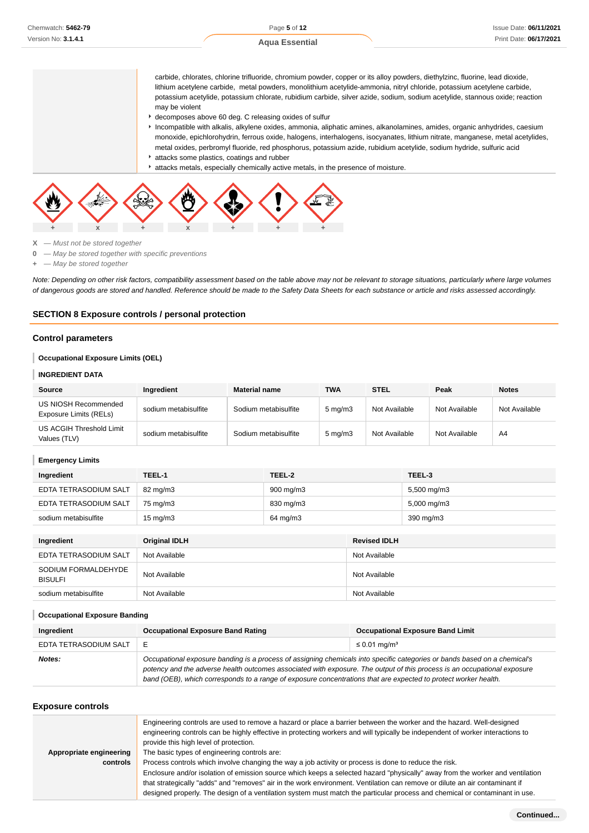**Aqua Essential**

carbide, chlorates, chlorine trifluoride, chromium powder, copper or its alloy powders, diethylzinc, fluorine, lead dioxide, lithium acetylene carbide, metal powders, monolithium acetylide-ammonia, nitryl chloride, potassium acetylene carbide, potassium acetylide, potassium chlorate, rubidium carbide, silver azide, sodium, sodium acetylide, stannous oxide; reaction may be violent

- decomposes above 60 deg. C releasing oxides of sulfur
- Incompatible with alkalis, alkylene oxides, ammonia, aliphatic amines, alkanolamines, amides, organic anhydrides, caesium monoxide, epichlorohydrin, ferrous oxide, halogens, interhalogens, isocyanates, lithium nitrate, manganese, metal acetylides, metal oxides, perbromyl fluoride, red phosphorus, potassium azide, rubidium acetylide, sodium hydride, sulfuric acid attacks some plastics, coatings and rubber
- attacks metals, especially chemically active metals, in the presence of moisture.



**X** — Must not be stored together

- **0** May be stored together with specific preventions
- **+** May be stored together

Note: Depending on other risk factors, compatibility assessment based on the table above may not be relevant to storage situations, particularly where large volumes of dangerous goods are stored and handled. Reference should be made to the Safety Data Sheets for each substance or article and risks assessed accordingly.

#### **SECTION 8 Exposure controls / personal protection**

#### **Control parameters**

#### **Occupational Exposure Limits (OEL)**

#### **INGREDIENT DATA**

| Source                                         | Ingredient           | <b>Material name</b> | <b>TWA</b>       | <b>STEL</b>   | Peak          | <b>Notes</b>  |
|------------------------------------------------|----------------------|----------------------|------------------|---------------|---------------|---------------|
| US NIOSH Recommended<br>Exposure Limits (RELs) | sodium metabisulfite | Sodium metabisulfite | $5 \text{ mg/m}$ | Not Available | Not Available | Not Available |
| US ACGIH Threshold Limit<br>Values (TLV)       | sodium metabisulfite | Sodium metabisulfite | $5 \text{ mg/m}$ | Not Available | Not Available | A4            |

#### **Emergency Limits**

| Ingredient            | TEEL-1            | TEEL-2             | TEEL-3                 |
|-----------------------|-------------------|--------------------|------------------------|
| EDTA TETRASODIUM SALT | 82 mg/m3          | $900 \text{ mg/m}$ | 5,500 mg/m3            |
| EDTA TETRASODIUM SALT | 75 mg/m3          | 830 mg/m3          | $5,000 \text{ mg/m}$ 3 |
| sodium metabisulfite  | $15 \text{ mg/m}$ | 64 mg/m3           | 390 mg/m3              |

| Ingredient                            | Original IDLH | <b>Revised IDLH</b> |
|---------------------------------------|---------------|---------------------|
| EDTA TETRASODIUM SALT                 | Not Available | Not Available       |
| SODIUM FORMALDEHYDE<br><b>BISULFI</b> | Not Available | Not Available       |
| sodium metabisulfite                  | Not Available | Not Available       |

#### **Occupational Exposure Banding**

| Ingredient            | <b>Occupational Exposure Band Rating</b>                                                                                                                                                                                                                                                                                                                                 | <b>Occupational Exposure Band Limit</b> |  |  |
|-----------------------|--------------------------------------------------------------------------------------------------------------------------------------------------------------------------------------------------------------------------------------------------------------------------------------------------------------------------------------------------------------------------|-----------------------------------------|--|--|
| EDTA TETRASODIUM SALT | $\leq$ 0.01 mg/m <sup>3</sup><br>Е                                                                                                                                                                                                                                                                                                                                       |                                         |  |  |
| Notes:                | Occupational exposure banding is a process of assigning chemicals into specific categories or bands based on a chemical's<br>potency and the adverse health outcomes associated with exposure. The output of this process is an occupational exposure<br>band (OEB), which corresponds to a range of exposure concentrations that are expected to protect worker health. |                                         |  |  |

#### **Exposure controls**

|                         | Engineering controls are used to remove a hazard or place a barrier between the worker and the hazard. Well-designed<br>engineering controls can be highly effective in protecting workers and will typically be independent of worker interactions to<br>provide this high level of protection. |
|-------------------------|--------------------------------------------------------------------------------------------------------------------------------------------------------------------------------------------------------------------------------------------------------------------------------------------------|
| Appropriate engineering | The basic types of engineering controls are:                                                                                                                                                                                                                                                     |
| controls                | Process controls which involve changing the way a job activity or process is done to reduce the risk.                                                                                                                                                                                            |
|                         | Enclosure and/or isolation of emission source which keeps a selected hazard "physically" away from the worker and ventilation                                                                                                                                                                    |
|                         | that strategically "adds" and "removes" air in the work environment. Ventilation can remove or dilute an air contaminant if                                                                                                                                                                      |
|                         | designed properly. The design of a ventilation system must match the particular process and chemical or contaminant in use.                                                                                                                                                                      |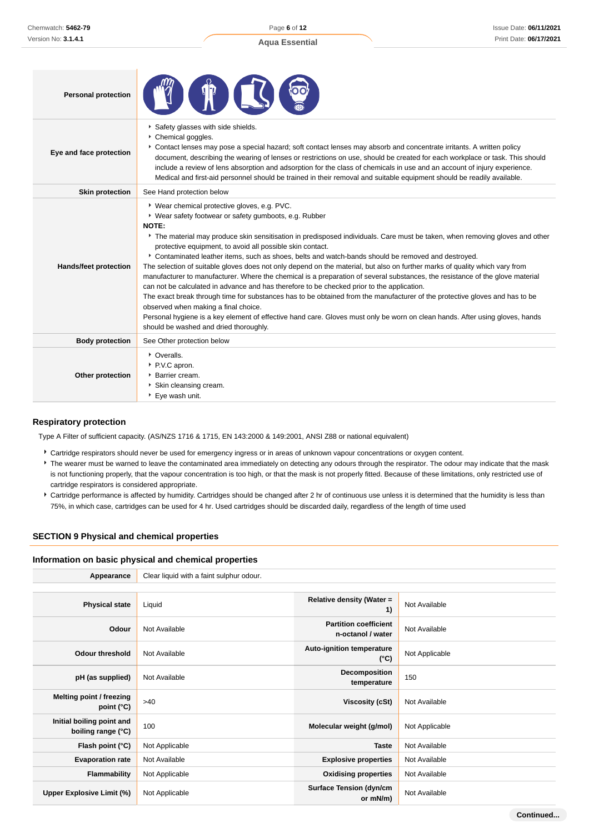| <b>Personal protection</b>   |                                                                                                                                                                                                                                                                                                                                                                                                                                                                                                                                                                                                                                                                                                                                                                                                                                                                                                                                                                                                                                                                                                                                  |
|------------------------------|----------------------------------------------------------------------------------------------------------------------------------------------------------------------------------------------------------------------------------------------------------------------------------------------------------------------------------------------------------------------------------------------------------------------------------------------------------------------------------------------------------------------------------------------------------------------------------------------------------------------------------------------------------------------------------------------------------------------------------------------------------------------------------------------------------------------------------------------------------------------------------------------------------------------------------------------------------------------------------------------------------------------------------------------------------------------------------------------------------------------------------|
| Eye and face protection      | Safety glasses with side shields.<br>Chemical goggles.<br>Contact lenses may pose a special hazard; soft contact lenses may absorb and concentrate irritants. A written policy<br>document, describing the wearing of lenses or restrictions on use, should be created for each workplace or task. This should<br>include a review of lens absorption and adsorption for the class of chemicals in use and an account of injury experience.<br>Medical and first-aid personnel should be trained in their removal and suitable equipment should be readily available.                                                                                                                                                                                                                                                                                                                                                                                                                                                                                                                                                            |
| <b>Skin protection</b>       | See Hand protection below                                                                                                                                                                                                                                                                                                                                                                                                                                                                                                                                                                                                                                                                                                                                                                                                                                                                                                                                                                                                                                                                                                        |
| <b>Hands/feet protection</b> | ▶ Wear chemical protective gloves, e.g. PVC.<br>* Wear safety footwear or safety gumboots, e.g. Rubber<br>NOTE:<br>The material may produce skin sensitisation in predisposed individuals. Care must be taken, when removing gloves and other<br>protective equipment, to avoid all possible skin contact.<br>▶ Contaminated leather items, such as shoes, belts and watch-bands should be removed and destroyed.<br>The selection of suitable gloves does not only depend on the material, but also on further marks of quality which vary from<br>manufacturer to manufacturer. Where the chemical is a preparation of several substances, the resistance of the glove material<br>can not be calculated in advance and has therefore to be checked prior to the application.<br>The exact break through time for substances has to be obtained from the manufacturer of the protective gloves and has to be<br>observed when making a final choice.<br>Personal hygiene is a key element of effective hand care. Gloves must only be worn on clean hands. After using gloves, hands<br>should be washed and dried thoroughly. |
| <b>Body protection</b>       | See Other protection below                                                                                                                                                                                                                                                                                                                                                                                                                                                                                                                                                                                                                                                                                                                                                                                                                                                                                                                                                                                                                                                                                                       |
| Other protection             | • Overalls.<br>P.V.C apron.<br>Barrier cream.<br>Skin cleansing cream.<br>▶ Eye wash unit.                                                                                                                                                                                                                                                                                                                                                                                                                                                                                                                                                                                                                                                                                                                                                                                                                                                                                                                                                                                                                                       |

### **Respiratory protection**

Type A Filter of sufficient capacity. (AS/NZS 1716 & 1715, EN 143:2000 & 149:2001, ANSI Z88 or national equivalent)

- Cartridge respirators should never be used for emergency ingress or in areas of unknown vapour concentrations or oxygen content.
- \* The wearer must be warned to leave the contaminated area immediately on detecting any odours through the respirator. The odour may indicate that the mask is not functioning properly, that the vapour concentration is too high, or that the mask is not properly fitted. Because of these limitations, only restricted use of cartridge respirators is considered appropriate.
- Cartridge performance is affected by humidity. Cartridges should be changed after 2 hr of continuous use unless it is determined that the humidity is less than 75%, in which case, cartridges can be used for 4 hr. Used cartridges should be discarded daily, regardless of the length of time used

### **SECTION 9 Physical and chemical properties**

#### **Information on basic physical and chemical properties**

| Appearance                                      | Clear liquid with a faint sulphur odour. |                                                   |                |
|-------------------------------------------------|------------------------------------------|---------------------------------------------------|----------------|
|                                                 |                                          |                                                   |                |
| <b>Physical state</b>                           | Liquid                                   | Relative density (Water =<br>1)                   | Not Available  |
| Odour                                           | Not Available                            | <b>Partition coefficient</b><br>n-octanol / water | Not Available  |
| <b>Odour threshold</b>                          | Not Available                            | <b>Auto-ignition temperature</b><br>(°C)          | Not Applicable |
| pH (as supplied)                                | Not Available                            | Decomposition<br>temperature                      | 150            |
| Melting point / freezing<br>point $(^{\circ}C)$ | >40                                      | Viscosity (cSt)                                   | Not Available  |
| Initial boiling point and<br>boiling range (°C) | 100                                      | Molecular weight (g/mol)                          | Not Applicable |
| Flash point (°C)                                | Not Applicable                           | <b>Taste</b>                                      | Not Available  |
| <b>Evaporation rate</b>                         | Not Available                            | <b>Explosive properties</b>                       | Not Available  |
| <b>Flammability</b>                             | Not Applicable                           | <b>Oxidising properties</b>                       | Not Available  |
| <b>Upper Explosive Limit (%)</b>                | Not Applicable                           | <b>Surface Tension (dyn/cm</b><br>or mN/m)        | Not Available  |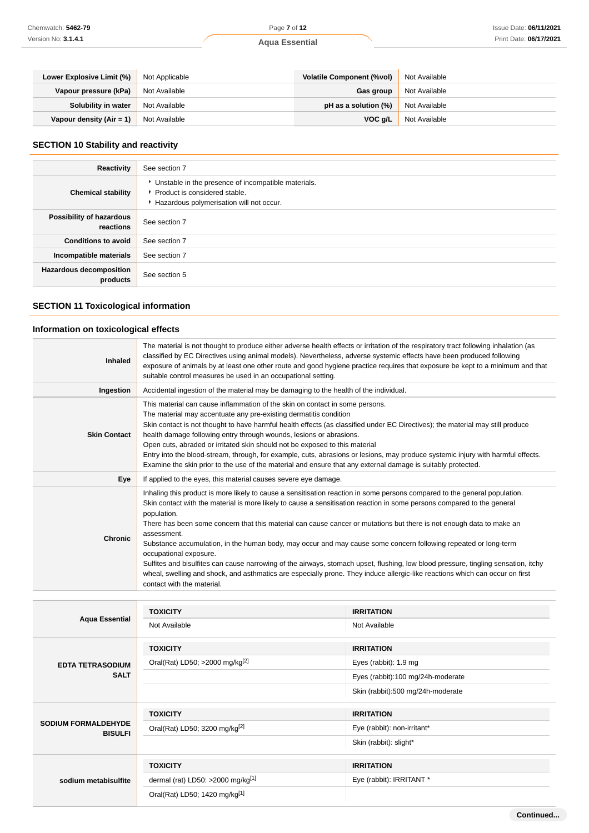| Lower Explosive Limit (%)  | Not Applicable | <b>Volatile Component (%vol)</b> | Not Available |
|----------------------------|----------------|----------------------------------|---------------|
| Vapour pressure (kPa)      | Not Available  | Gas group                        | Not Available |
| Solubility in water        | Not Available  | pH as a solution (%)             | Not Available |
| Vapour density $(Air = 1)$ | Not Available  | VOC a/L                          | Not Available |

# **SECTION 10 Stability and reactivity**

| Reactivity                                 | See section 7                                                                                                                        |
|--------------------------------------------|--------------------------------------------------------------------------------------------------------------------------------------|
| <b>Chemical stability</b>                  | • Unstable in the presence of incompatible materials.<br>▶ Product is considered stable.<br>Hazardous polymerisation will not occur. |
| Possibility of hazardous<br>reactions      | See section 7                                                                                                                        |
| <b>Conditions to avoid</b>                 | See section 7                                                                                                                        |
| Incompatible materials                     | See section 7                                                                                                                        |
| <b>Hazardous decomposition</b><br>products | See section 5                                                                                                                        |

# **SECTION 11 Toxicological information**

# **Information on toxicological effects**

| <b>Inhaled</b>      | The material is not thought to produce either adverse health effects or irritation of the respiratory tract following inhalation (as<br>classified by EC Directives using animal models). Nevertheless, adverse systemic effects have been produced following<br>exposure of animals by at least one other route and good hygiene practice requires that exposure be kept to a minimum and that<br>suitable control measures be used in an occupational setting.                                                                                                                                                                                                                                                                                                                                                                                             |
|---------------------|--------------------------------------------------------------------------------------------------------------------------------------------------------------------------------------------------------------------------------------------------------------------------------------------------------------------------------------------------------------------------------------------------------------------------------------------------------------------------------------------------------------------------------------------------------------------------------------------------------------------------------------------------------------------------------------------------------------------------------------------------------------------------------------------------------------------------------------------------------------|
| Ingestion           | Accidental ingestion of the material may be damaging to the health of the individual.                                                                                                                                                                                                                                                                                                                                                                                                                                                                                                                                                                                                                                                                                                                                                                        |
| <b>Skin Contact</b> | This material can cause inflammation of the skin on contact in some persons.<br>The material may accentuate any pre-existing dermatitis condition<br>Skin contact is not thought to have harmful health effects (as classified under EC Directives); the material may still produce<br>health damage following entry through wounds, lesions or abrasions.<br>Open cuts, abraded or irritated skin should not be exposed to this material<br>Entry into the blood-stream, through, for example, cuts, abrasions or lesions, may produce systemic injury with harmful effects.<br>Examine the skin prior to the use of the material and ensure that any external damage is suitably protected.                                                                                                                                                                |
| Eye                 | If applied to the eyes, this material causes severe eye damage.                                                                                                                                                                                                                                                                                                                                                                                                                                                                                                                                                                                                                                                                                                                                                                                              |
| <b>Chronic</b>      | Inhaling this product is more likely to cause a sensitisation reaction in some persons compared to the general population.<br>Skin contact with the material is more likely to cause a sensitisation reaction in some persons compared to the general<br>population.<br>There has been some concern that this material can cause cancer or mutations but there is not enough data to make an<br>assessment.<br>Substance accumulation, in the human body, may occur and may cause some concern following repeated or long-term<br>occupational exposure.<br>Sulfites and bisulfites can cause narrowing of the airways, stomach upset, flushing, low blood pressure, tingling sensation, itchy<br>wheal, swelling and shock, and asthmatics are especially prone. They induce allergic-like reactions which can occur on first<br>contact with the material. |

| <b>Aqua Essential</b>      | <b>TOXICITY</b>                            | <b>IRRITATION</b>                 |
|----------------------------|--------------------------------------------|-----------------------------------|
|                            | Not Available                              | Not Available                     |
|                            | <b>TOXICITY</b>                            | <b>IRRITATION</b>                 |
| <b>EDTA TETRASODIUM</b>    | Oral(Rat) LD50; >2000 mg/kg <sup>[2]</sup> | Eyes (rabbit): 1.9 mg             |
| <b>SALT</b>                |                                            | Eyes (rabbit):100 mg/24h-moderate |
|                            |                                            | Skin (rabbit):500 mg/24h-moderate |
|                            |                                            |                                   |
|                            | <b>TOXICITY</b>                            | <b>IRRITATION</b>                 |
| <b>SODIUM FORMALDEHYDE</b> | Oral(Rat) LD50; 3200 mg/kg <sup>[2]</sup>  | Eye (rabbit): non-irritant*       |
| <b>BISULFI</b>             |                                            | Skin (rabbit): slight*            |
|                            | <b>TOXICITY</b>                            | <b>IRRITATION</b>                 |
| sodium metabisulfite       | dermal (rat) LD50: >2000 mg/kg[1]          | Eye (rabbit): IRRITANT *          |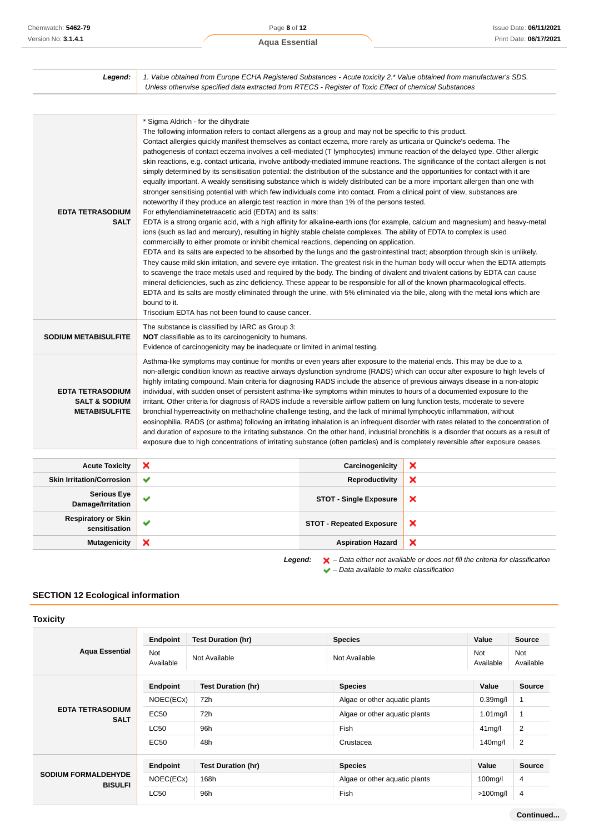| Legend:                                                                     | 1. Value obtained from Europe ECHA Registered Substances - Acute toxicity 2.* Value obtained from manufacturer's SDS.<br>Unless otherwise specified data extracted from RTECS - Register of Toxic Effect of chemical Substances                                                                                                                                                                                                                                                                                                                                                                                                                                                                                                                                                                                                                                                                                                                                                                                                                                                                                                                                                                                                                                                                                                                                                                                                                                                                                                                                                                                                                                                                                                                                                                                                                                                                                                                                                                                                                                                                                                                                                                                    |                                 |   |
|-----------------------------------------------------------------------------|--------------------------------------------------------------------------------------------------------------------------------------------------------------------------------------------------------------------------------------------------------------------------------------------------------------------------------------------------------------------------------------------------------------------------------------------------------------------------------------------------------------------------------------------------------------------------------------------------------------------------------------------------------------------------------------------------------------------------------------------------------------------------------------------------------------------------------------------------------------------------------------------------------------------------------------------------------------------------------------------------------------------------------------------------------------------------------------------------------------------------------------------------------------------------------------------------------------------------------------------------------------------------------------------------------------------------------------------------------------------------------------------------------------------------------------------------------------------------------------------------------------------------------------------------------------------------------------------------------------------------------------------------------------------------------------------------------------------------------------------------------------------------------------------------------------------------------------------------------------------------------------------------------------------------------------------------------------------------------------------------------------------------------------------------------------------------------------------------------------------------------------------------------------------------------------------------------------------|---------------------------------|---|
|                                                                             |                                                                                                                                                                                                                                                                                                                                                                                                                                                                                                                                                                                                                                                                                                                                                                                                                                                                                                                                                                                                                                                                                                                                                                                                                                                                                                                                                                                                                                                                                                                                                                                                                                                                                                                                                                                                                                                                                                                                                                                                                                                                                                                                                                                                                    |                                 |   |
| <b>EDTA TETRASODIUM</b><br><b>SALT</b>                                      | * Sigma Aldrich - for the dihydrate<br>The following information refers to contact allergens as a group and may not be specific to this product.<br>Contact allergies quickly manifest themselves as contact eczema, more rarely as urticaria or Quincke's oedema. The<br>pathogenesis of contact eczema involves a cell-mediated (T lymphocytes) immune reaction of the delayed type. Other allergic<br>skin reactions, e.g. contact urticaria, involve antibody-mediated immune reactions. The significance of the contact allergen is not<br>simply determined by its sensitisation potential: the distribution of the substance and the opportunities for contact with it are<br>equally important. A weakly sensitising substance which is widely distributed can be a more important allergen than one with<br>stronger sensitising potential with which few individuals come into contact. From a clinical point of view, substances are<br>noteworthy if they produce an allergic test reaction in more than 1% of the persons tested.<br>For ethylendiaminetetraacetic acid (EDTA) and its salts:<br>EDTA is a strong organic acid, with a high affinity for alkaline-earth ions (for example, calcium and magnesium) and heavy-metal<br>ions (such as lad and mercury), resulting in highly stable chelate complexes. The ability of EDTA to complex is used<br>commercially to either promote or inhibit chemical reactions, depending on application.<br>EDTA and its salts are expected to be absorbed by the lungs and the gastrointestinal tract; absorption through skin is unlikely.<br>They cause mild skin irritation, and severe eye irritation. The greatest risk in the human body will occur when the EDTA attempts<br>to scavenge the trace metals used and required by the body. The binding of divalent and trivalent cations by EDTA can cause<br>mineral deficiencies, such as zinc deficiency. These appear to be responsible for all of the known pharmacological effects.<br>EDTA and its salts are mostly eliminated through the urine, with 5% eliminated via the bile, along with the metal ions which are<br>bound to it.<br>Trisodium EDTA has not been found to cause cancer. |                                 |   |
| <b>SODIUM METABISULFITE</b>                                                 | The substance is classified by IARC as Group 3:<br><b>NOT</b> classifiable as to its carcinogenicity to humans.<br>Evidence of carcinogenicity may be inadequate or limited in animal testing.                                                                                                                                                                                                                                                                                                                                                                                                                                                                                                                                                                                                                                                                                                                                                                                                                                                                                                                                                                                                                                                                                                                                                                                                                                                                                                                                                                                                                                                                                                                                                                                                                                                                                                                                                                                                                                                                                                                                                                                                                     |                                 |   |
| <b>EDTA TETRASODIUM</b><br><b>SALT &amp; SODIUM</b><br><b>METABISULFITE</b> | Asthma-like symptoms may continue for months or even years after exposure to the material ends. This may be due to a<br>non-allergic condition known as reactive airways dysfunction syndrome (RADS) which can occur after exposure to high levels of<br>highly irritating compound. Main criteria for diagnosing RADS include the absence of previous airways disease in a non-atopic<br>individual, with sudden onset of persistent asthma-like symptoms within minutes to hours of a documented exposure to the<br>irritant. Other criteria for diagnosis of RADS include a reversible airflow pattern on lung function tests, moderate to severe<br>bronchial hyperreactivity on methacholine challenge testing, and the lack of minimal lymphocytic inflammation, without<br>eosinophilia. RADS (or asthma) following an irritating inhalation is an infrequent disorder with rates related to the concentration of<br>and duration of exposure to the irritating substance. On the other hand, industrial bronchitis is a disorder that occurs as a result of<br>exposure due to high concentrations of irritating substance (often particles) and is completely reversible after exposure ceases.                                                                                                                                                                                                                                                                                                                                                                                                                                                                                                                                                                                                                                                                                                                                                                                                                                                                                                                                                                                                           |                                 |   |
| <b>Acute Toxicity</b>                                                       | ×                                                                                                                                                                                                                                                                                                                                                                                                                                                                                                                                                                                                                                                                                                                                                                                                                                                                                                                                                                                                                                                                                                                                                                                                                                                                                                                                                                                                                                                                                                                                                                                                                                                                                                                                                                                                                                                                                                                                                                                                                                                                                                                                                                                                                  | Carcinogenicity                 | × |
| <b>Skin Irritation/Corrosion</b>                                            | ✔                                                                                                                                                                                                                                                                                                                                                                                                                                                                                                                                                                                                                                                                                                                                                                                                                                                                                                                                                                                                                                                                                                                                                                                                                                                                                                                                                                                                                                                                                                                                                                                                                                                                                                                                                                                                                                                                                                                                                                                                                                                                                                                                                                                                                  | <b>Reproductivity</b>           | × |
| <b>Serious Eye</b><br>Damage/Irritation                                     | ✔                                                                                                                                                                                                                                                                                                                                                                                                                                                                                                                                                                                                                                                                                                                                                                                                                                                                                                                                                                                                                                                                                                                                                                                                                                                                                                                                                                                                                                                                                                                                                                                                                                                                                                                                                                                                                                                                                                                                                                                                                                                                                                                                                                                                                  | <b>STOT - Single Exposure</b>   | × |
| <b>Respiratory or Skin</b><br>sensitisation                                 | ✔                                                                                                                                                                                                                                                                                                                                                                                                                                                                                                                                                                                                                                                                                                                                                                                                                                                                                                                                                                                                                                                                                                                                                                                                                                                                                                                                                                                                                                                                                                                                                                                                                                                                                                                                                                                                                                                                                                                                                                                                                                                                                                                                                                                                                  | <b>STOT - Repeated Exposure</b> | × |
| <b>Mutagenicity</b>                                                         | ×                                                                                                                                                                                                                                                                                                                                                                                                                                                                                                                                                                                                                                                                                                                                                                                                                                                                                                                                                                                                                                                                                                                                                                                                                                                                                                                                                                                                                                                                                                                                                                                                                                                                                                                                                                                                                                                                                                                                                                                                                                                                                                                                                                                                                  | <b>Aspiration Hazard</b>        | × |
|                                                                             |                                                                                                                                                                                                                                                                                                                                                                                                                                                                                                                                                                                                                                                                                                                                                                                                                                                                                                                                                                                                                                                                                                                                                                                                                                                                                                                                                                                                                                                                                                                                                                                                                                                                                                                                                                                                                                                                                                                                                                                                                                                                                                                                                                                                                    |                                 |   |

Legend:  $\mathsf{X}$  – Data either not available or does not fill the criteria for classification  $\blacktriangleright$  – Data available to make classification

# **SECTION 12 Ecological information**

# **Toxicity**

| <b>Aqua Essential</b>                        | Endpoint<br><b>Not</b><br>Available | <b>Test Duration (hr)</b><br>Not Available | <b>Species</b><br>Not Available | Value<br><b>Not</b><br>Available | <b>Source</b><br><b>Not</b><br>Available |
|----------------------------------------------|-------------------------------------|--------------------------------------------|---------------------------------|----------------------------------|------------------------------------------|
|                                              | Endpoint                            | <b>Test Duration (hr)</b>                  | <b>Species</b>                  | Value                            | <b>Source</b>                            |
| <b>EDTA TETRASODIUM</b><br><b>SALT</b>       | NOEC(ECx)                           | 72h                                        | Algae or other aquatic plants   | $0.39$ mg/l                      |                                          |
|                                              | EC50                                | 72h                                        | Algae or other aquatic plants   | $1.01$ mg/l                      |                                          |
|                                              | <b>LC50</b>                         | 96h                                        | Fish                            | $41$ mg/l                        | $\overline{2}$                           |
|                                              | EC50                                | 48h                                        | Crustacea                       | 140mg/l                          | 2                                        |
|                                              |                                     |                                            |                                 |                                  |                                          |
| <b>SODIUM FORMALDEHYDE</b><br><b>BISULFI</b> | Endpoint                            | <b>Test Duration (hr)</b>                  | <b>Species</b>                  | Value                            | <b>Source</b>                            |
|                                              | NOEC(ECx)                           | 168h                                       | Algae or other aquatic plants   | 100 <sub>mq</sub> /I             | 4                                        |
|                                              | LC50                                | 96h                                        | Fish                            | $>100$ mg/l                      | 4                                        |

**Continued...**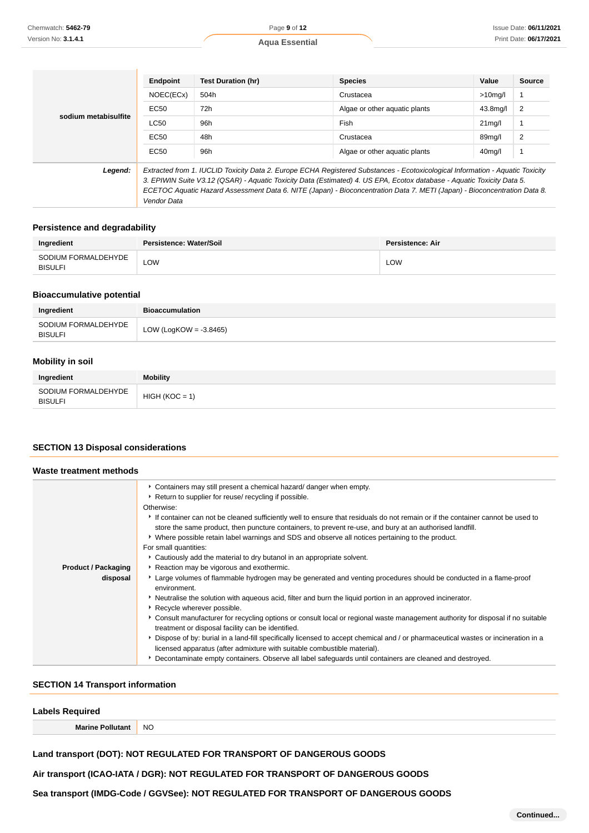|                                                                                                                                                                                                                                                                    | Endpoint                                                                                                                 | <b>Test Duration (hr)</b> | <b>Species</b>                | Value               | <b>Source</b> |
|--------------------------------------------------------------------------------------------------------------------------------------------------------------------------------------------------------------------------------------------------------------------|--------------------------------------------------------------------------------------------------------------------------|---------------------------|-------------------------------|---------------------|---------------|
|                                                                                                                                                                                                                                                                    | NOEC(ECx)                                                                                                                | 504h                      | Crustacea                     | $>10$ mg/l          |               |
|                                                                                                                                                                                                                                                                    | EC50                                                                                                                     | 72h                       | Algae or other aquatic plants | 43.8mg/l            | 2             |
| sodium metabisulfite                                                                                                                                                                                                                                               | <b>LC50</b>                                                                                                              | 96h                       | Fish                          | $21$ mg/l           |               |
|                                                                                                                                                                                                                                                                    | EC50                                                                                                                     | 48h                       | Crustacea                     | 89ma/l              | 2             |
|                                                                                                                                                                                                                                                                    | EC50                                                                                                                     | 96h                       | Algae or other aguatic plants | 40 <sub>mg</sub> /l |               |
| Legend:<br>Extracted from 1. IUCLID Toxicity Data 2. Europe ECHA Registered Substances - Ecotoxicological Information - Aquatic Toxicity<br>3. EPIWIN Suite V3.12 (QSAR) - Aquatic Toxicity Data (Estimated) 4. US EPA, Ecotox database - Aquatic Toxicity Data 5. |                                                                                                                          |                           |                               |                     |               |
|                                                                                                                                                                                                                                                                    | ECETOC Aquatic Hazard Assessment Data 6. NITE (Japan) - Bioconcentration Data 7. METI (Japan) - Bioconcentration Data 8. |                           |                               |                     |               |

### **Persistence and degradability**

Vendor Data

| Ingredient                            | Persistence: Water/Soil | Persistence: Air |
|---------------------------------------|-------------------------|------------------|
| SODIUM FORMALDEHYDE<br><b>BISULFI</b> | LOW                     | LOW              |

#### **Bioaccumulative potential**

| Ingredient                            | <b>Bioaccumulation</b>    |
|---------------------------------------|---------------------------|
| SODIUM FORMALDEHYDE<br><b>BISULFI</b> | LOW (LogKOW = $-3.8465$ ) |

### **Mobility in soil**

| Ingredient                            | <b>Mobility</b>  |
|---------------------------------------|------------------|
| SODIUM FORMALDEHYDE<br><b>BISULFI</b> | $HIGH (KOC = 1)$ |

#### **SECTION 13 Disposal considerations**

#### **Waste treatment methods Product / Packaging disposal** Containers may still present a chemical hazard/ danger when empty. **Return to supplier for reuse/ recycling if possible.** Otherwise: If container can not be cleaned sufficiently well to ensure that residuals do not remain or if the container cannot be used to store the same product, then puncture containers, to prevent re-use, and bury at an authorised landfill. Where possible retain label warnings and SDS and observe all notices pertaining to the product. For small quantities: Cautiously add the material to dry butanol in an appropriate solvent. Reaction may be vigorous and exothermic. Large volumes of flammable hydrogen may be generated and venting procedures should be conducted in a flame-proof environment. Neutralise the solution with aqueous acid, filter and burn the liquid portion in an approved incinerator. **Recycle wherever possible.** Consult manufacturer for recycling options or consult local or regional waste management authority for disposal if no suitable treatment or disposal facility can be identified. Dispose of by: burial in a land-fill specifically licensed to accept chemical and / or pharmaceutical wastes or incineration in a licensed apparatus (after admixture with suitable combustible material). Decontaminate empty containers. Observe all label safeguards until containers are cleaned and destroyed.

### **SECTION 14 Transport information**

| <b>Labels Required</b> |           |
|------------------------|-----------|
| <b>Marine Pollut</b>   | <b>NO</b> |
|                        |           |

**Land transport (DOT): NOT REGULATED FOR TRANSPORT OF DANGEROUS GOODS**

**Air transport (ICAO-IATA / DGR): NOT REGULATED FOR TRANSPORT OF DANGEROUS GOODS**

**Sea transport (IMDG-Code / GGVSee): NOT REGULATED FOR TRANSPORT OF DANGEROUS GOODS**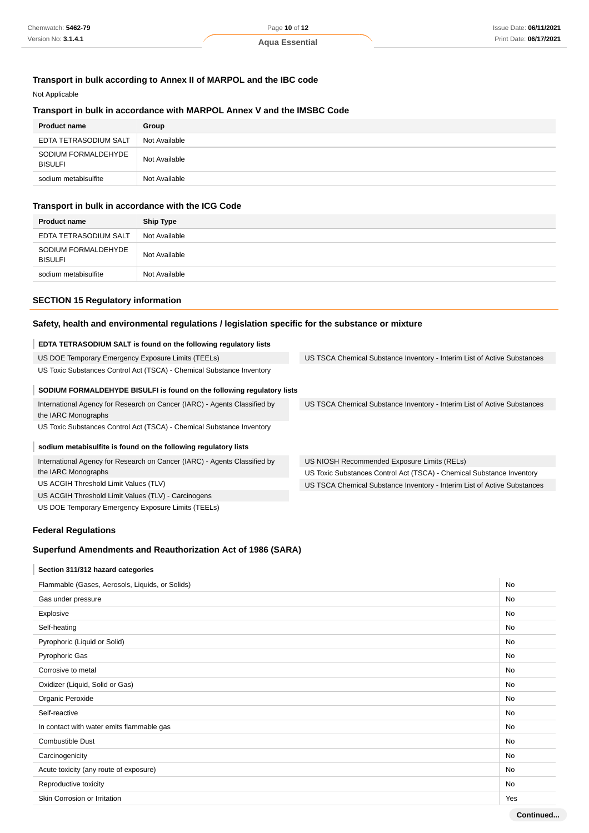### **Transport in bulk according to Annex II of MARPOL and the IBC code**

#### Not Applicable

#### **Transport in bulk in accordance with MARPOL Annex V and the IMSBC Code**

| <b>Product name</b>                   | Group         |
|---------------------------------------|---------------|
| EDTA TETRASODIUM SALT                 | Not Available |
| SODIUM FORMALDEHYDE<br><b>BISULFI</b> | Not Available |
| sodium metabisulfite                  | Not Available |

### **Transport in bulk in accordance with the ICG Code**

| <b>Product name</b>                   | <b>Ship Type</b> |
|---------------------------------------|------------------|
| EDTA TETRASODIUM SALT                 | Not Available    |
| SODIUM FORMALDEHYDE<br><b>BISULFI</b> | Not Available    |
| sodium metabisulfite                  | Not Available    |

US TSCA Chemical Substance Inventory - Interim List of Active Substances

US TSCA Chemical Substance Inventory - Interim List of Active Substances

US Toxic Substances Control Act (TSCA) - Chemical Substance Inventory US TSCA Chemical Substance Inventory - Interim List of Active Substances

US NIOSH Recommended Exposure Limits (RELs)

#### **SECTION 15 Regulatory information**

#### **Safety, health and environmental regulations / legislation specific for the substance or mixture**

#### **EDTA TETRASODIUM SALT is found on the following regulatory lists**

| US DOE Temporary Emergency Exposure Limits (TEELs)                    |  |
|-----------------------------------------------------------------------|--|
| US Toxic Substances Control Act (TSCA) - Chemical Substance Inventory |  |

#### **SODIUM FORMALDEHYDE BISULFI is found on the following regulatory lists**

International Agency for Research on Cancer (IARC) - Agents Classified by the IARC Monographs US Toxic Substances Control Act (TSCA) - Chemical Substance Inventory

**sodium metabisulfite is found on the following regulatory lists**

International Agency for Research on Cancer (IARC) - Agents Classified by the IARC Monographs US ACGIH Threshold Limit Values (TLV) US ACGIH Threshold Limit Values (TLV) - Carcinogens

US DOE Temporary Emergency Exposure Limits (TEELs)

### **Federal Regulations**

### **Superfund Amendments and Reauthorization Act of 1986 (SARA)**

### **Section 311/312 hazard categories**

| Flammable (Gases, Aerosols, Liquids, or Solids) |           |  |
|-------------------------------------------------|-----------|--|
| Gas under pressure                              | No        |  |
| Explosive                                       | No        |  |
| Self-heating                                    | <b>No</b> |  |
| Pyrophoric (Liquid or Solid)                    | <b>No</b> |  |
| Pyrophoric Gas                                  | No        |  |
| Corrosive to metal                              | <b>No</b> |  |
| Oxidizer (Liquid, Solid or Gas)                 | No        |  |
| Organic Peroxide                                | No        |  |
| Self-reactive                                   | No        |  |
| In contact with water emits flammable gas       | <b>No</b> |  |
| <b>Combustible Dust</b>                         | <b>No</b> |  |
| Carcinogenicity                                 | No        |  |
| Acute toxicity (any route of exposure)          | No        |  |
| Reproductive toxicity                           | <b>No</b> |  |
| Skin Corrosion or Irritation                    | Yes       |  |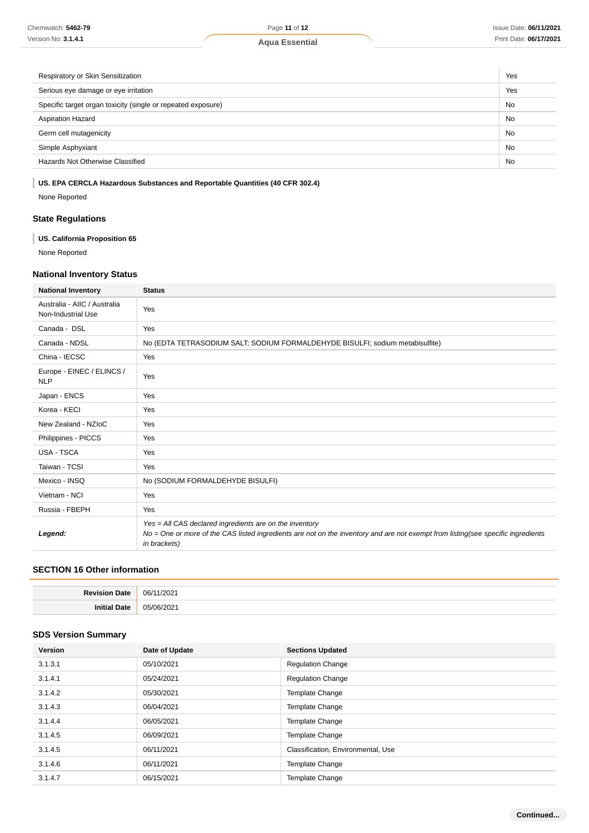| Respiratory or Skin Sensitization                            |           |  |
|--------------------------------------------------------------|-----------|--|
| Serious eye damage or eye irritation                         |           |  |
| Specific target organ toxicity (single or repeated exposure) |           |  |
| <b>Aspiration Hazard</b>                                     | <b>No</b> |  |
| Germ cell mutagenicity                                       |           |  |
| Simple Asphyxiant                                            | <b>No</b> |  |
| Hazards Not Otherwise Classified                             | <b>No</b> |  |

# **US. EPA CERCLA Hazardous Substances and Reportable Quantities (40 CFR 302.4)**

None Reported

### **State Regulations**

### **US. California Proposition 65**

None Reported

# **National Inventory Status**

| <b>National Inventory</b>                          | <b>Status</b>                                                                                                                                                                                               |  |
|----------------------------------------------------|-------------------------------------------------------------------------------------------------------------------------------------------------------------------------------------------------------------|--|
| Australia - AIIC / Australia<br>Non-Industrial Use | Yes                                                                                                                                                                                                         |  |
| Canada - DSL                                       | Yes                                                                                                                                                                                                         |  |
| Canada - NDSL                                      | No (EDTA TETRASODIUM SALT; SODIUM FORMALDEHYDE BISULFI; sodium metabisulfite)                                                                                                                               |  |
| China - IECSC                                      | Yes                                                                                                                                                                                                         |  |
| Europe - EINEC / ELINCS /<br><b>NLP</b>            | Yes                                                                                                                                                                                                         |  |
| Japan - ENCS                                       | Yes                                                                                                                                                                                                         |  |
| Korea - KECI                                       | Yes                                                                                                                                                                                                         |  |
| New Zealand - NZIoC                                | Yes                                                                                                                                                                                                         |  |
| Philippines - PICCS                                | Yes                                                                                                                                                                                                         |  |
| USA - TSCA                                         | Yes                                                                                                                                                                                                         |  |
| Taiwan - TCSI                                      | Yes                                                                                                                                                                                                         |  |
| Mexico - INSQ                                      | No (SODIUM FORMALDEHYDE BISULFI)                                                                                                                                                                            |  |
| Vietnam - NCI                                      | Yes                                                                                                                                                                                                         |  |
| Russia - FBEPH                                     | Yes                                                                                                                                                                                                         |  |
| Legend:                                            | Yes = All CAS declared ingredients are on the inventory<br>No = One or more of the CAS listed ingredients are not on the inventory and are not exempt from listing(see specific ingredients<br>in brackets) |  |

# **SECTION 16 Other information**

| <b>Pevision</b><br>Date | 06/<br>202 |
|-------------------------|------------|
| Ini                     | /06/2021   |
| 1atr                    | በ5         |
|                         |            |

### **SDS Version Summary**

| <b>Version</b> | Date of Update | <b>Sections Updated</b>            |
|----------------|----------------|------------------------------------|
| 3.1.3.1        | 05/10/2021     | <b>Regulation Change</b>           |
| 3.1.4.1        | 05/24/2021     | <b>Regulation Change</b>           |
| 3.1.4.2        | 05/30/2021     | Template Change                    |
| 3.1.4.3        | 06/04/2021     | <b>Template Change</b>             |
| 3.1.4.4        | 06/05/2021     | <b>Template Change</b>             |
| 3.1.4.5        | 06/09/2021     | <b>Template Change</b>             |
| 3.1.4.5        | 06/11/2021     | Classification, Environmental, Use |
| 3.1.4.6        | 06/11/2021     | <b>Template Change</b>             |
| 3.1.4.7        | 06/15/2021     | <b>Template Change</b>             |